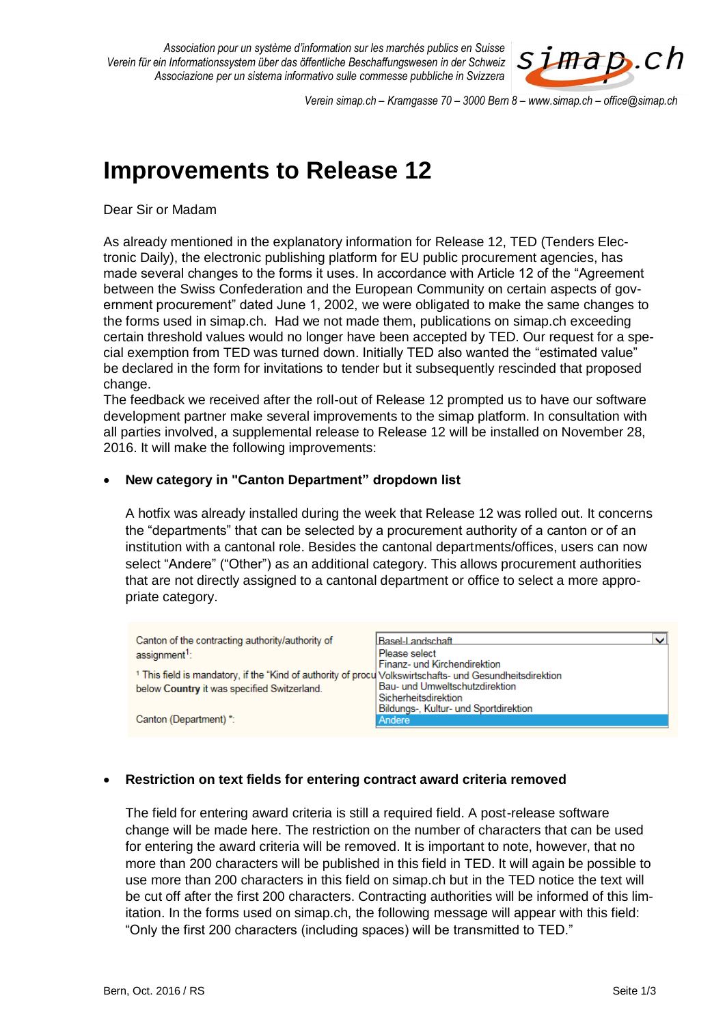

*Verein simap.ch – Kramgasse 70 – 3000 Bern 8 – www.simap.ch – office@simap.ch*

# **Improvements to Release 12**

Dear Sir or Madam

As already mentioned in the explanatory information for Release 12, TED (Tenders Electronic Daily), the electronic publishing platform for EU public procurement agencies, has made several changes to the forms it uses. In accordance with Article 12 of the "Agreement between the Swiss Confederation and the European Community on certain aspects of government procurement" dated June 1, 2002, we were obligated to make the same changes to the forms used in simap.ch. Had we not made them, publications on simap.ch exceeding certain threshold values would no longer have been accepted by TED. Our request for a special exemption from TED was turned down. Initially TED also wanted the "estimated value" be declared in the form for invitations to tender but it subsequently rescinded that proposed change.

The feedback we received after the roll-out of Release 12 prompted us to have our software development partner make several improvements to the simap platform. In consultation with all parties involved, a supplemental release to Release 12 will be installed on November 28, 2016. It will make the following improvements:

## **New category in "Canton Department" dropdown list**

A hotfix was already installed during the week that Release 12 was rolled out. It concerns the "departments" that can be selected by a procurement authority of a canton or of an institution with a cantonal role. Besides the cantonal departments/offices, users can now select "Andere" ("Other") as an additional category. This allows procurement authorities that are not directly assigned to a cantonal department or office to select a more appropriate category.

| Canton of the contracting authority/authority of                                                                    | Basel-Landschaft                      |
|---------------------------------------------------------------------------------------------------------------------|---------------------------------------|
| assignment <sup>1</sup> :                                                                                           | Please select                         |
|                                                                                                                     | Finanz- und Kirchendirektion          |
| <sup>1</sup> This field is mandatory, if the "Kind of authority of procu Volkswirtschafts- und Gesundheitsdirektion |                                       |
| below Country it was specified Switzerland.                                                                         | Bau- und Umweltschutzdirektion        |
|                                                                                                                     | Sicherheitsdirektion                  |
|                                                                                                                     | Bildungs-, Kultur- und Sportdirektion |
| Canton (Department) *:                                                                                              | Andere                                |

# **Restriction on text fields for entering contract award criteria removed**

The field for entering award criteria is still a required field. A post-release software change will be made here. The restriction on the number of characters that can be used for entering the award criteria will be removed. It is important to note, however, that no more than 200 characters will be published in this field in TED. It will again be possible to use more than 200 characters in this field on simap.ch but in the TED notice the text will be cut off after the first 200 characters. Contracting authorities will be informed of this limitation. In the forms used on simap.ch, the following message will appear with this field: "Only the first 200 characters (including spaces) will be transmitted to TED."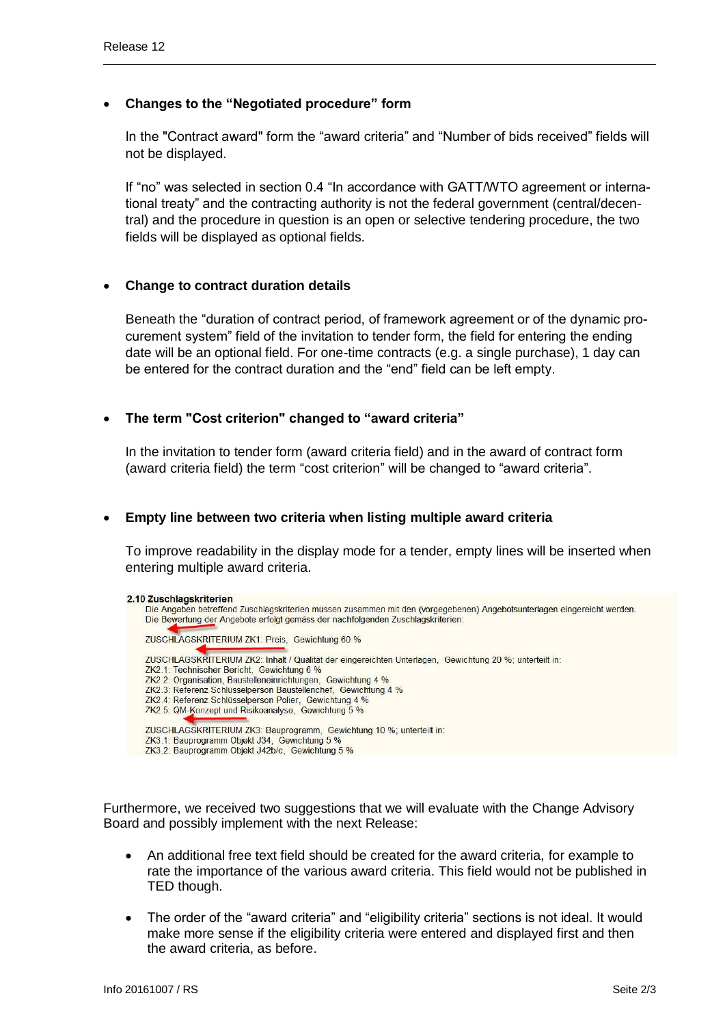# **Changes to the "Negotiated procedure" form**

In the "Contract award" form the "award criteria" and "Number of bids received" fields will not be displayed.

If "no" was selected in section 0.4 "In accordance with GATT/WTO agreement or international treaty" and the contracting authority is not the federal government (central/decentral) and the procedure in question is an open or selective tendering procedure, the two fields will be displayed as optional fields.

## **Change to contract duration details**

Beneath the "duration of contract period, of framework agreement or of the dynamic procurement system" field of the invitation to tender form, the field for entering the ending date will be an optional field. For one-time contracts (e.g. a single purchase), 1 day can be entered for the contract duration and the "end" field can be left empty.

## **The term "Cost criterion" changed to "award criteria"**

In the invitation to tender form (award criteria field) and in the award of contract form (award criteria field) the term "cost criterion" will be changed to "award criteria".

#### **Empty line between two criteria when listing multiple award criteria**

To improve readability in the display mode for a tender, empty lines will be inserted when entering multiple award criteria.

| 2.10 Zuschlagskriterien                                                                                                 |
|-------------------------------------------------------------------------------------------------------------------------|
| Die Angaben betreffend Zuschlagskriterien müssen zusammen mit den (vorgegebenen) Angebotsunterlagen eingereicht werden. |
| Die Bewertung der Angebote erfolgt gemäss der nachfolgenden Zuschlagskriterien:                                         |
| ZUSCHLAGSKRITERIUM ZK1: Preis, Gewichtung 60 %                                                                          |
| ZUSCHLAGSKRITERIUM ZK2: Inhalt / Qualität der eingereichten Unterlagen, Gewichtung 20 %; unterteilt in:                 |
| ZK2.1: Technischer Bericht. Gewichtung 6 %                                                                              |
| ZK2.2: Organisation, Baustelleneinrichtungen, Gewichtung 4 %                                                            |
| ZK2.3: Referenz Schlüsselperson Baustellenchef, Gewichtung 4 %                                                          |
| ZK2.4: Referenz Schlüsselperson Polier. Gewichtung 4 %                                                                  |
| 7K2.5: QM-Konzept und Risikoanalyse. Gewichtung 5 %                                                                     |
| ZUSCHLAGSKRITERIUM ZK3: Bauprogramm, Gewichtung 10 %; unterteilt in:                                                    |
| ZK3.1: Bauprogramm Objekt J34, Gewichtung 5 %                                                                           |
| ZK3.2: Bauprogramm Objekt J42b/c. Gewichtung 5 %                                                                        |

Furthermore, we received two suggestions that we will evaluate with the Change Advisory Board and possibly implement with the next Release:

- An additional free text field should be created for the award criteria, for example to rate the importance of the various award criteria. This field would not be published in TED though.
- The order of the "award criteria" and "eligibility criteria" sections is not ideal. It would make more sense if the eligibility criteria were entered and displayed first and then the award criteria, as before.